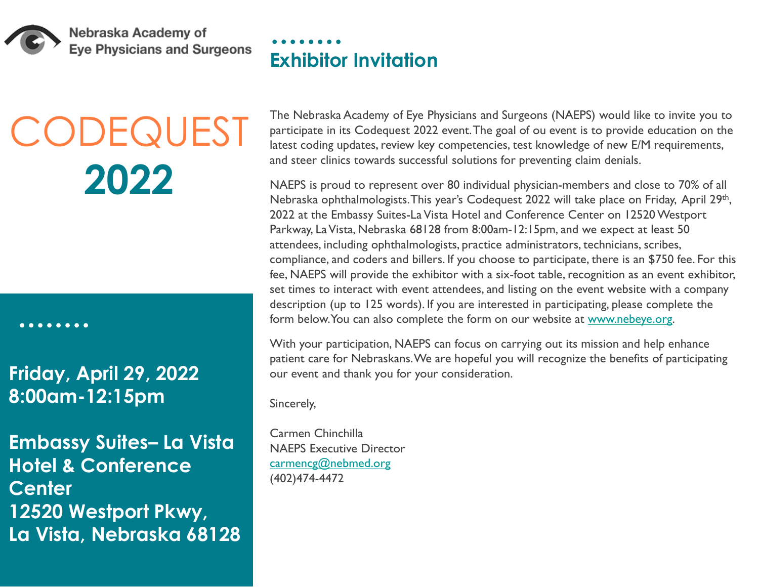

Nebraska Academy of **Eye Physicians and Surgeons** 

# **CODEQUEST 2022**

. . . . . . . .

**Friday, April 29, 2022 8:00am-12:15pm**

**Embassy Suites– La Vista Hotel & Conference Center 12520 Westport Pkwy, La Vista, Nebraska 68128** The Nebraska Academy of Eye Physicians and Surgeons (NAEPS) would like to invite you to participate in its Codequest 2022 event. The goal of ou event is to provide education on the

latest coding updates, review key competencies, test knowledge of new E/M requirements, and steer clinics towards successful solutions for preventing claim denials. NAEPS is proud to represent over 80 individual physician-members and close to 70% of all

Nebraska ophthalmologists. This year's Codequest 2022 will take place on Friday, April 29th, 2022 at the Embassy Suites-La Vista Hotel and Conference Center on 12520 Westport Parkway, La Vista, Nebraska 68128 from 8:00am-12:15pm, and we expect at least 50 attendees, including ophthalmologists, practice administrators, technicians, scribes, compliance, and coders and billers. If you choose to participate, there is an \$750 fee. For this fee, NAEPS will provide the exhibitor with a six-foot table, recognition as an event exhibitor, set times to interact with event attendees, and listing on the event website with a company description (up to 125 words). If you are interested in participating, please complete the form below. You can also complete the form on our website at [www.nebeye.org.](https://www.nebeye.org/exhibits-and-sponsorships/)

With your participation, NAEPS can focus on carrying out its mission and help enhance patient care for Nebraskans. We are hopeful you will recognize the benefits of participating our event and thank you for your consideration.

Sincerely,

Carmen Chinchilla NAEPS Executive Director [carmencg@nebmed.org](mailto:carmencg@nebmed.org) (402)474-4472

**Exhibitor Invitation**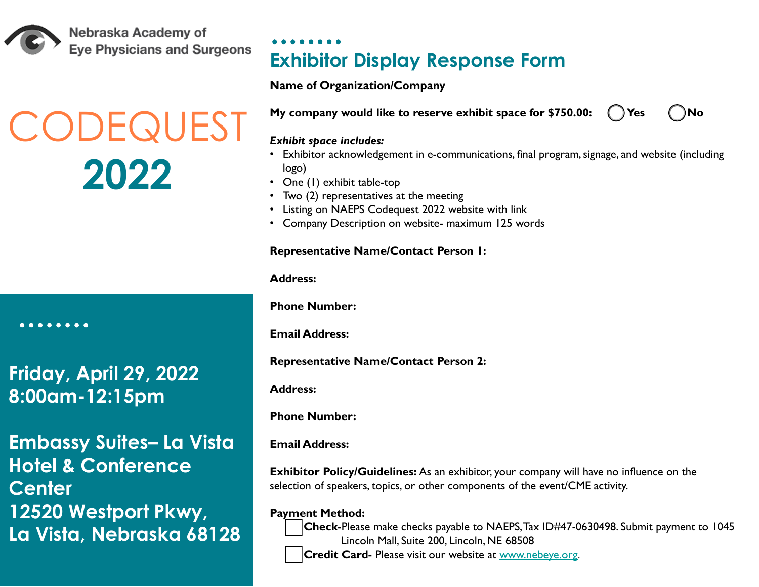Nebraska Academy of **Eve Physicians and Surgeons** 

### **CODEQUES 2022**

**Friday, April 29, 2022** 

**8:00am-12:15pm**

. . . . . .

**Embassy Suites– La Vista Hotel & Conference Center 12520 Westport Pkwy, La Vista, Nebraska 68128** **Exhibitor Display Response Form**

#### **Name of Organization/Company**

**My company would like to reserve exhibit space for \$750.00: (ii) Yes (iii) No** 

#### *Exhibit space includes:*

- Exhibitor acknowledgement in e-communications, final program, signage, and website (including logo)
- One (1) exhibit table-top
- Two (2) representatives at the meeting
- Listing on NAEPS Codequest 2022 website with link
- Company Description on website- maximum 125 words

#### **Representative Name/Contact Person 1:**

**Address:**

**Phone Number:**

**Email Address:** 

**Representative Name/Contact Person 2:**

**Address:**

**Phone Number:**

**Email Address:** 

**Exhibitor Policy/Guidelines:** As an exhibitor, your company will have no influence on the selection of speakers, topics, or other components of the event/CME activity.

**Payment Method:**



**Check-**Please make checks payable to NAEPS, Tax ID#47-0630498. Submit payment to 1045 Lincoln Mall, Suite 200, Lincoln, NE 68508

**Credit Card-** Please visit our website at [www.nebeye.org.](https://www.nebeye.org/exhibits-and-sponsorships/)